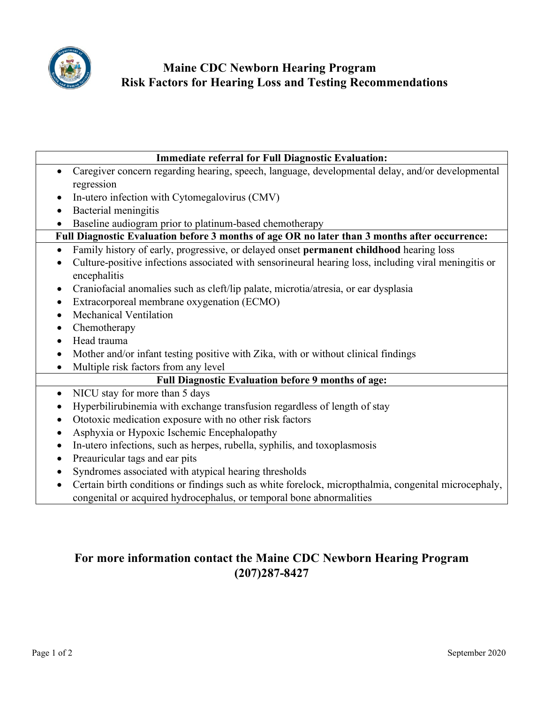

## **Maine CDC Newborn Hearing Program Risk Factors for Hearing Loss and Testing Recommendations**

| <b>Immediate referral for Full Diagnostic Evaluation:</b>                                                             |
|-----------------------------------------------------------------------------------------------------------------------|
| Caregiver concern regarding hearing, speech, language, developmental delay, and/or developmental<br>$\bullet$         |
| regression                                                                                                            |
| In-utero infection with Cytomegalovirus (CMV)<br>$\bullet$                                                            |
| Bacterial meningitis                                                                                                  |
| Baseline audiogram prior to platinum-based chemotherapy                                                               |
| Full Diagnostic Evaluation before 3 months of age OR no later than 3 months after occurrence:                         |
| Family history of early, progressive, or delayed onset permanent childhood hearing loss<br>$\bullet$                  |
| Culture-positive infections associated with sensorineural hearing loss, including viral meningitis or<br>encephalitis |
| Craniofacial anomalies such as cleft/lip palate, microtia/atresia, or ear dysplasia<br>٠                              |
| Extracorporeal membrane oxygenation (ECMO)<br>$\bullet$                                                               |
| Mechanical Ventilation<br>$\bullet$                                                                                   |
| Chemotherapy<br>٠                                                                                                     |
| Head trauma                                                                                                           |
| Mother and/or infant testing positive with Zika, with or without clinical findings                                    |
| Multiple risk factors from any level<br>$\bullet$                                                                     |
| <b>Full Diagnostic Evaluation before 9 months of age:</b>                                                             |
| NICU stay for more than 5 days<br>$\bullet$                                                                           |
| Hyperbilirubinemia with exchange transfusion regardless of length of stay<br>$\bullet$                                |
| Ototoxic medication exposure with no other risk factors<br>$\bullet$                                                  |
| Asphyxia or Hypoxic Ischemic Encephalopathy                                                                           |
| In-utero infections, such as herpes, rubella, syphilis, and toxoplasmosis                                             |
| Preauricular tags and ear pits<br>$\bullet$                                                                           |
| Syndromes associated with atypical hearing thresholds                                                                 |
| Certain birth conditions or findings such as white forelock, micropthalmia, congenital microcephaly,                  |
| congenital or acquired hydrocephalus, or temporal bone abnormalities                                                  |

# **For more information contact the Maine CDC Newborn Hearing Program (207)287-8427**